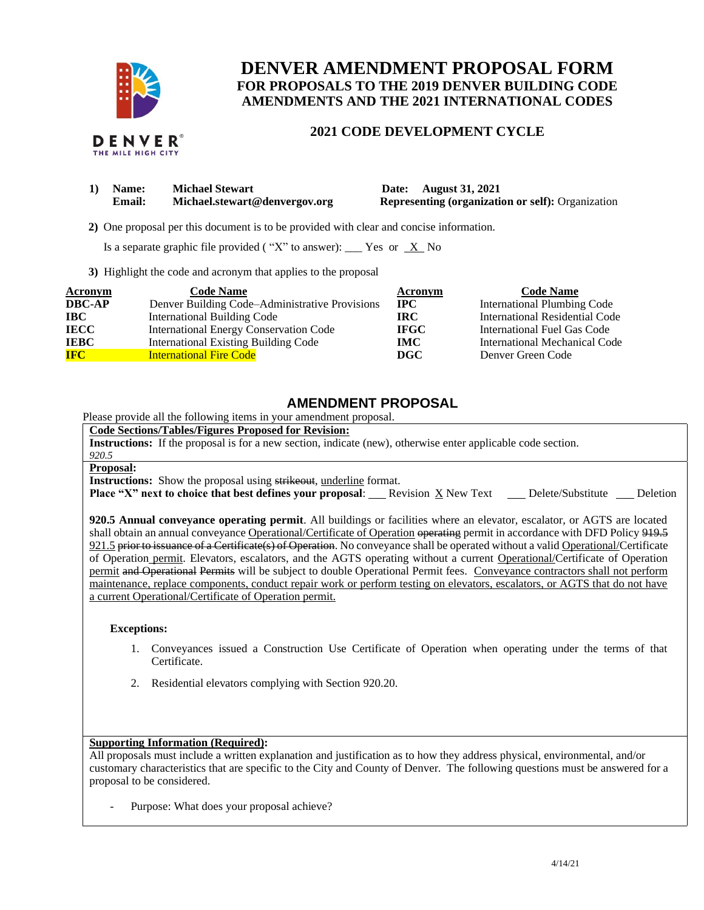

# **DENVER AMENDMENT PROPOSAL FORM FOR PROPOSALS TO THE 2019 DENVER BUILDING CODE AMENDMENTS AND THE 2021 INTERNATIONAL CODES**

## **2021 CODE DEVELOPMENT CYCLE**



| 1) Name: | <b>Michael Stewart</b>        | Date: August 31, 2021                                    |
|----------|-------------------------------|----------------------------------------------------------|
| Email:   | Michael.stewart@denvergov.org | <b>Representing (organization or self):</b> Organization |

 **2)** One proposal per this document is to be provided with clear and concise information.

Is a separate graphic file provided ("X" to answer): \_\_\_ Yes or  $X$  No

**3)** Highlight the code and acronym that applies to the proposal

| Acronym       | <b>Code Name</b>                               | Acronym      | <b>Code Name</b>                   |
|---------------|------------------------------------------------|--------------|------------------------------------|
| <b>DBC-AP</b> | Denver Building Code–Administrative Provisions | $_{\rm IPC}$ | <b>International Plumbing Code</b> |
| <b>IBC</b>    | <b>International Building Code</b>             | IRC-         | International Residential Code     |
| <b>IECC</b>   | <b>International Energy Conservation Code</b>  | <b>IFGC</b>  | International Fuel Gas Code        |
| <b>IEBC</b>   | <b>International Existing Building Code</b>    | IMC.         | International Mechanical Code      |
| <b>IFC</b>    | <b>International Fire Code</b>                 | DGC          | Denver Green Code                  |

## **AMENDMENT PROPOSAL**

Please provide all the following items in your amendment proposal.

### **Code Sections/Tables/Figures Proposed for Revision:**

**Instructions:** If the proposal is for a new section, indicate (new), otherwise enter applicable code section.

#### *920.5* **Proposal:**

**Instructions:** Show the proposal using strikeout, underline format.

**Place "X" next to choice that best defines your proposal:** Revision X New Text Delete/Substitute Deletion

**920.5 Annual conveyance operating permit**. All buildings or facilities where an elevator, escalator, or AGTS are located shall obtain an annual conveyance Operational/Certificate of Operation operating permit in accordance with DFD Policy 919.5 921.5 prior to issuance of a Certificate(s) of Operation. No conveyance shall be operated without a valid Operational/Certificate of Operation permit. Elevators, escalators, and the AGTS operating without a current Operational/Certificate of Operation permit and Operational Permits will be subject to double Operational Permit fees. Conveyance contractors shall not perform maintenance, replace components, conduct repair work or perform testing on elevators, escalators, or AGTS that do not have a current Operational/Certificate of Operation permit.

#### **Exceptions:**

- 1. Conveyances issued a Construction Use Certificate of Operation when operating under the terms of that Certificate.
- 2. Residential elevators complying with Section 920.20.

### **Supporting Information (Required):**

All proposals must include a written explanation and justification as to how they address physical, environmental, and/or customary characteristics that are specific to the City and County of Denver. The following questions must be answered for a proposal to be considered.

Purpose: What does your proposal achieve?